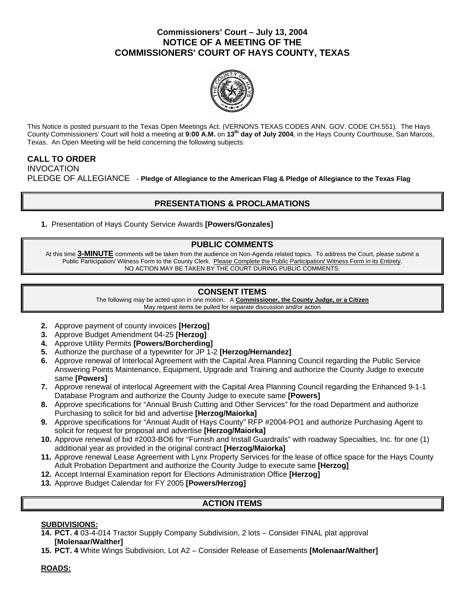## **Commissioners' Court – July 13, 2004 NOTICE OF A MEETING OF THE COMMISSIONERS' COURT OF HAYS COUNTY, TEXAS**



This Notice is posted pursuant to the Texas Open Meetings Act. (VERNONS TEXAS CODES ANN. GOV. CODE CH.551). The Hays County Commissioners' Court will hold a meeting at **9:00 A.M.** on **13th day of July 2004**, in the Hays County Courthouse, San Marcos, Texas. An Open Meeting will be held concerning the following subjects:

### **CALL TO ORDER**  INVOCATION PLEDGE OF ALLEGIANCE - **Pledge of Allegiance to the American Flag & Pledge of Allegiance to the Texas Flag**

# **PRESENTATIONS & PROCLAMATIONS**

**1.** Presentation of Hays County Service Awards **[Powers/Gonzales]**

### **PUBLIC COMMENTS**

At this time **3-MINUTE** comments will be taken from the audience on Non-Agenda related topics. To address the Court, please submit a Public Participation/ Witness Form to the County Clerk. Please Complete the Public Participation/ Witness Form in its Entirety. NO ACTION MAY BE TAKEN BY THE COURT DURING PUBLIC COMMENTS.

### **CONSENT ITEMS**

The following may be acted upon in one motion. A **Commissioner, the County Judge, or a Citizen** May request items be pulled for separate discussion and/or action

- **2.** Approve payment of county invoices **[Herzog]**
- **3.** Approve Budget Amendment 04-25 **[Herzog]**
- **4.** Approve Utility Permits **[Powers/Borcherding]**
- **5.** Authorize the purchase of a typewriter for JP 1-2 **[Herzog/Hernandez]**
- **6.** Approve renewal of Interlocal Agreement with the Capital Area Planning Council regarding the Public Service Answering Points Maintenance, Equipment, Upgrade and Training and authorize the County Judge to execute same **[Powers]**
- **7.** Approve renewal of interlocal Agreement with the Capital Area Planning Council regarding the Enhanced 9-1-1 Database Program and authorize the County Judge to execute same **[Powers]**
- **8.** Approve specifications for "Annual Brush Cutting and Other Services" for the road Department and authorize Purchasing to solicit for bid and advertise **[Herzog/Maiorka]**
- **9.** Approve specifications for "Annual Audit of Hays County" RFP #2004-PO1 and authorize Purchasing Agent to solicit for request for proposal and advertise **[Herzog/Maiorka]**
- **10.** Approve renewal of bid #2003-BO6 for "Furnish and Install Guardrails" with roadway Specialties, Inc. for one (1) additional year as provided in the original contract **[Herzog/Maiorka]**
- **11.** Approve renewal Lease Agreement with Lynx Property Services for the lease of office space for the Hays County Adult Probation Department and authorize the County Judge to execute same **[Herzog]**
- **12.** Accept Internal Examination report for Elections Administration Office **[Herzog]**
- **13.** Approve Budget Calendar for FY 2005 **[Powers/Herzog]**

### **ACTION ITEMS**

### **SUBDIVISIONS:**

- **14. PCT. 4** 03-4-014 Tractor Supply Company Subdivision, 2 lots Consider FINAL plat approval **[Molenaar/Walther]**
- **15. PCT. 4** White Wings Subdivision, Lot A2 Consider Release of Easements **[Molenaar/Walther]**